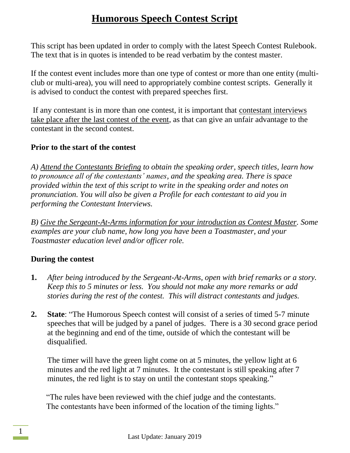This script has been updated in order to comply with the latest Speech Contest Rulebook. The text that is in quotes is intended to be read verbatim by the contest master.

If the contest event includes more than one type of contest or more than one entity (multiclub or multi-area), you will need to appropriately combine contest scripts. Generally it is advised to conduct the contest with prepared speeches first.

If any contestant is in more than one contest, it is important that contestant interviews take place after the last contest of the event, as that can give an unfair advantage to the contestant in the second contest.

#### **Prior to the start of the contest**

*A) Attend the Contestants Briefing to obtain the speaking order, speech titles, learn how to pronounce all of the contestants' names, and the speaking area. There is space provided within the text of this script to write in the speaking order and notes on pronunciation. You will also be given a Profile for each contestant to aid you in performing the Contestant Interviews.*

*B) Give the Sergeant-At-Arms information for your introduction as Contest Master. Some examples are your club name, how long you have been a Toastmaster, and your Toastmaster education level and/or officer role.*

#### **During the contest**

- **1.** *After being introduced by the Sergeant-At-Arms, open with brief remarks or a story. Keep this to 5 minutes or less. You should not make any more remarks or add stories during the rest of the contest. This will distract contestants and judges.*
- **2. State**: "The Humorous Speech contest will consist of a series of timed 5-7 minute speeches that will be judged by a panel of judges. There is a 30 second grace period at the beginning and end of the time, outside of which the contestant will be disqualified.

The timer will have the green light come on at 5 minutes, the yellow light at 6 minutes and the red light at 7 minutes. It the contestant is still speaking after 7 minutes, the red light is to stay on until the contestant stops speaking."

"The rules have been reviewed with the chief judge and the contestants. The contestants have been informed of the location of the timing lights."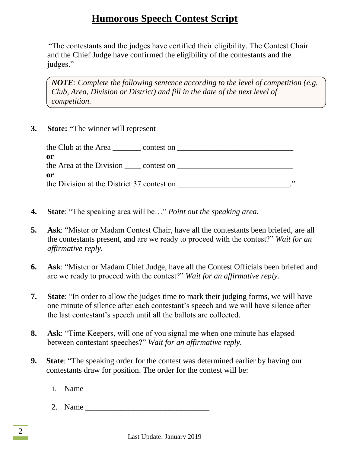"The contestants and the judges have certified their eligibility. The Contest Chair and the Chief Judge have confirmed the eligibility of the contestants and the judges."

*NOTE: Complete the following sentence according to the level of competition (e.g. Club, Area, Division or District) and fill in the date of the next level of competition.*

**3. State: "**The winner will represent

| the Club at the Area<br>contest on               |            |
|--------------------------------------------------|------------|
| 0r<br>the Area at the Division contest on        |            |
| 0r<br>the Division at the District 37 contest on | <b>י</b> כ |

- **4. State**: "The speaking area will be…" *Point out the speaking area.*
- **5. Ask**: "Mister or Madam Contest Chair, have all the contestants been briefed, are all the contestants present, and are we ready to proceed with the contest?" *Wait for an affirmative reply.*
- **6. Ask**: "Mister or Madam Chief Judge, have all the Contest Officials been briefed and are we ready to proceed with the contest?" *Wait for an affirmative reply.*
- **7. State**: "In order to allow the judges time to mark their judging forms, we will have one minute of silence after each contestant's speech and we will have silence after the last contestant's speech until all the ballots are collected.
- **8. Ask**: "Time Keepers, will one of you signal me when one minute has elapsed between contestant speeches?" *Wait for an affirmative reply.*
- **9. State**: "The speaking order for the contest was determined earlier by having our contestants draw for position. The order for the contest will be:
	- 1. Name
	- $2.$  Name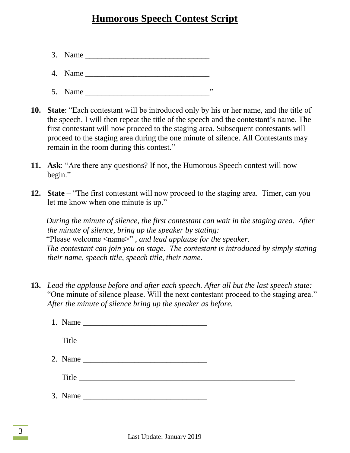- 3. Name \_\_\_\_\_\_\_\_\_\_\_\_\_\_\_\_\_\_\_\_\_\_\_\_\_\_\_\_\_\_\_
- 4. Name \_\_\_\_\_\_\_\_\_\_\_\_\_\_\_\_\_\_\_\_\_\_\_\_\_\_\_\_\_\_\_
- 5. Name \_\_\_\_\_\_\_\_\_\_\_\_\_\_\_\_\_\_\_\_\_\_\_\_\_\_\_\_\_\_\_"
- **10. State**: "Each contestant will be introduced only by his or her name, and the title of the speech. I will then repeat the title of the speech and the contestant's name. The first contestant will now proceed to the staging area. Subsequent contestants will proceed to the staging area during the one minute of silence. All Contestants may remain in the room during this contest."
- **11. Ask**: "Are there any questions? If not, the Humorous Speech contest will now begin."
- **12. State** "The first contestant will now proceed to the staging area. Timer, can you let me know when one minute is up."

*During the minute of silence, the first contestant can wait in the staging area. After the minute of silence, bring up the speaker by stating:* "Please welcome <name>" *, and lead applause for the speaker. The contestant can join you on stage. The contestant is introduced by simply stating their name, speech title, speech title, their name.*

**13.** *Lead the applause before and after each speech. After all but the last speech state:* "One minute of silence please. Will the next contestant proceed to the staging area." *After the minute of silence bring up the speaker as before.*

|  | $\text{Title} \text{ \_\_} \text{ \_\_} \text{ \_\_} \text{ \_\_} \text{ \_\_} \text{ \_\_} \text{ \_\_} \text{ \_\_} \text{ \_\_} \text{ \_\_} \text{ \_\_} \text{ \_\_} \text{ \_\_} \text{ \_\_} \text{ \_\_} \text{ \_\_} \text{ \_\_} \text{ \_\_} \text{ \_\_} \text{ \_\_} \text{ \_\_} \text{ \_\_} \text{ \_\_} \text{ \_\_} \text{ \_\_} \text{ \_\_} \text{ \_\_} \text{ \_\_} \text{ \_\_} \text{ \_\_} \text{ \_\$ |  |
|--|---------------------------------------------------------------------------------------------------------------------------------------------------------------------------------------------------------------------------------------------------------------------------------------------------------------------------------------------------------------------------------------------------------------------------------|--|
|  |                                                                                                                                                                                                                                                                                                                                                                                                                                 |  |
|  | Title                                                                                                                                                                                                                                                                                                                                                                                                                           |  |
|  |                                                                                                                                                                                                                                                                                                                                                                                                                                 |  |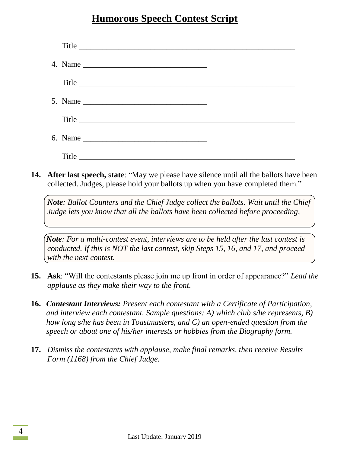| Title |  |
|-------|--|
|       |  |
| Title |  |
|       |  |
| Title |  |
|       |  |
| Title |  |

**14. After last speech,** s**tate**: "May we please have silence until all the ballots have been collected. Judges, please hold your ballots up when you have completed them."

*Note: Ballot Counters and the Chief Judge collect the ballots. Wait until the Chief Judge lets you know that all the ballots have been collected before proceeding,*

*Note: For a multi-contest event, interviews are to be held after the last contest is conducted. If this is NOT the last contest, skip Steps 15, 16, and 17, and proceed with the next contest.*

- **15. Ask**: "Will the contestants please join me up front in order of appearance?" *Lead the applause as they make their way to the front.*
- **16.** *Contestant Interviews: Present each contestant with a Certificate of Participation, and interview each contestant. Sample questions: A) which club s/he represents, B) how long s/he has been in Toastmasters, and C) an open-ended question from the speech or about one of his/her interests or hobbies from the Biography form.*
- **17.** *Dismiss the contestants with applause, make final remarks, then receive Results Form (1168) from the Chief Judge.*